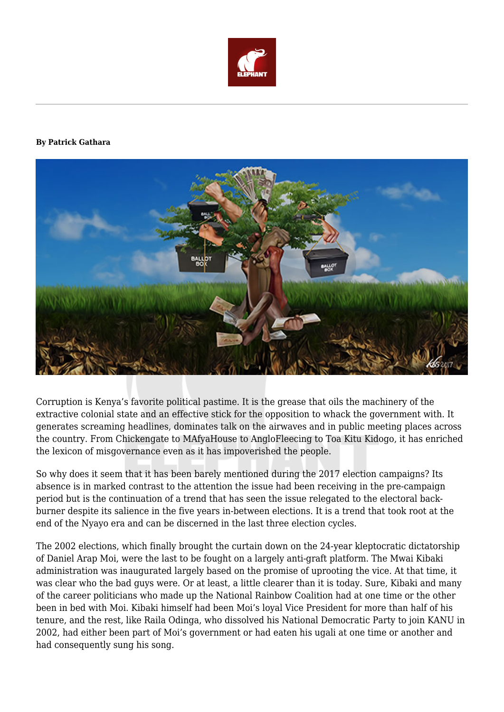

## **By Patrick Gathara**



Corruption is Kenya's favorite political pastime. It is the grease that oils the machinery of the extractive colonial state and an effective stick for the opposition to whack the government with. It generates screaming headlines, dominates talk on the airwaves and in public meeting places across the country. From Chickengate to MAfyaHouse to AngloFleecing to Toa Kitu Kidogo, it has enriched the lexicon of misgovernance even as it has impoverished the people.

So why does it seem that it has been barely mentioned during the 2017 election campaigns? Its absence is in marked contrast to the attention the issue had been receiving in the pre-campaign period but is the continuation of a trend that has seen the issue relegated to the electoral backburner despite its salience in the five years in-between elections. It is a trend that took root at the end of the Nyayo era and can be discerned in the last three election cycles.

The 2002 elections, which finally brought the curtain down on the 24-year kleptocratic dictatorship of Daniel Arap Moi, were the last to be fought on a largely anti-graft platform. The Mwai Kibaki administration was inaugurated largely based on the promise of uprooting the vice. At that time, it was clear who the bad guys were. Or at least, a little clearer than it is today. Sure, Kibaki and many of the career politicians who made up the National Rainbow Coalition had at one time or the other been in bed with Moi. Kibaki himself had been Moi's loyal Vice President for more than half of his tenure, and the rest, like Raila Odinga, who dissolved his National Democratic Party to join KANU in 2002, had either been part of Moi's government or had eaten his ugali at one time or another and had consequently sung his song.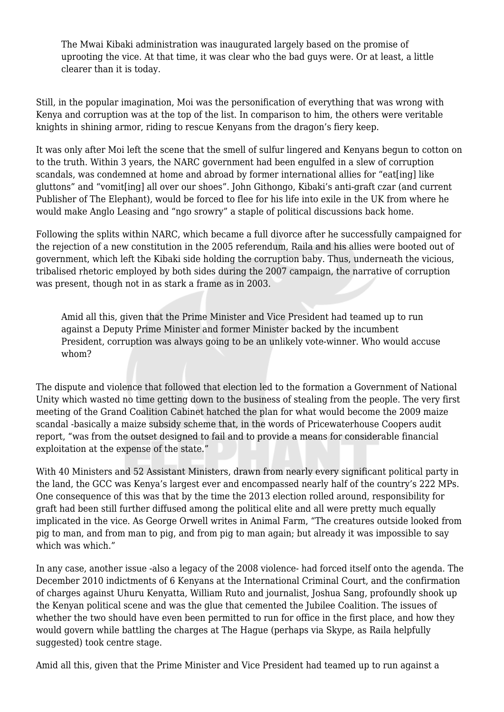The Mwai Kibaki administration was inaugurated largely based on the promise of uprooting the vice. At that time, it was clear who the bad guys were. Or at least, a little clearer than it is today.

Still, in the popular imagination, Moi was the personification of everything that was wrong with Kenya and corruption was at the top of the list. In comparison to him, the others were veritable knights in shining armor, riding to rescue Kenyans from the dragon's fiery keep.

It was only after Moi left the scene that the smell of sulfur lingered and Kenyans begun to cotton on to the truth. Within 3 years, the NARC government had been engulfed in a slew of corruption scandals, was condemned at home and abroad by former international allies for "eat[ing] like gluttons" and "vomit[ing] all over our shoes". John Githongo, Kibaki's anti-graft czar (and current Publisher of The Elephant), would be forced to flee for his life into exile in the UK from where he would make Anglo Leasing and "ngo srowry" a staple of political discussions back home.

Following the splits within NARC, which became a full divorce after he successfully campaigned for the rejection of a new constitution in the 2005 referendum, Raila and his allies were booted out of government, which left the Kibaki side holding the corruption baby. Thus, underneath the vicious, tribalised rhetoric employed by both sides during the 2007 campaign, the narrative of corruption was present, though not in as stark a frame as in 2003.

Amid all this, given that the Prime Minister and Vice President had teamed up to run against a Deputy Prime Minister and former Minister backed by the incumbent President, corruption was always going to be an unlikely vote-winner. Who would accuse whom?

The dispute and violence that followed that election led to the formation a Government of National Unity which wasted no time getting down to the business of stealing from the people. The very first meeting of the Grand Coalition Cabinet hatched the plan for what would become the 2009 maize scandal -basically a maize subsidy scheme that, in the words of Pricewaterhouse Coopers audit report, "was from the outset designed to fail and to provide a means for considerable financial exploitation at the expense of the state."

With 40 Ministers and 52 Assistant Ministers, drawn from nearly every significant political party in the land, the GCC was Kenya's largest ever and encompassed nearly half of the country's 222 MPs. One consequence of this was that by the time the 2013 election rolled around, responsibility for graft had been still further diffused among the political elite and all were pretty much equally implicated in the vice. As George Orwell writes in Animal Farm, "The creatures outside looked from pig to man, and from man to pig, and from pig to man again; but already it was impossible to say which was which."

In any case, another issue -also a legacy of the 2008 violence- had forced itself onto the agenda. The December 2010 indictments of 6 Kenyans at the International Criminal Court, and the confirmation of charges against Uhuru Kenyatta, William Ruto and journalist, Joshua Sang, profoundly shook up the Kenyan political scene and was the glue that cemented the Jubilee Coalition. The issues of whether the two should have even been permitted to run for office in the first place, and how they would govern while battling the charges at The Hague (perhaps via Skype, as Raila helpfully suggested) took centre stage.

Amid all this, given that the Prime Minister and Vice President had teamed up to run against a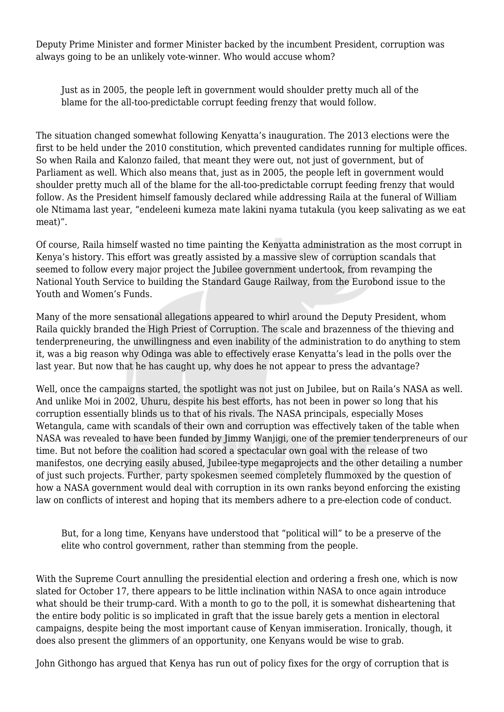Deputy Prime Minister and former Minister backed by the incumbent President, corruption was always going to be an unlikely vote-winner. Who would accuse whom?

Just as in 2005, the people left in government would shoulder pretty much all of the blame for the all-too-predictable corrupt feeding frenzy that would follow.

The situation changed somewhat following Kenyatta's inauguration. The 2013 elections were the first to be held under the 2010 constitution, which prevented candidates running for multiple offices. So when Raila and Kalonzo failed, that meant they were out, not just of government, but of Parliament as well. Which also means that, just as in 2005, the people left in government would shoulder pretty much all of the blame for the all-too-predictable corrupt feeding frenzy that would follow. As the President himself famously declared while addressing Raila at the funeral of William ole Ntimama last year, "endeleeni kumeza mate lakini nyama tutakula (you keep salivating as we eat meat)".

Of course, Raila himself wasted no time painting the Kenyatta administration as the most corrupt in Kenya's history. This effort was greatly assisted by a massive slew of corruption scandals that seemed to follow every major project the Jubilee government undertook, from revamping the National Youth Service to building the Standard Gauge Railway, from the Eurobond issue to the Youth and Women's Funds.

Many of the more sensational allegations appeared to whirl around the Deputy President, whom Raila quickly branded the High Priest of Corruption. The scale and brazenness of the thieving and tenderpreneuring, the unwillingness and even inability of the administration to do anything to stem it, was a big reason why Odinga was able to effectively erase Kenyatta's lead in the polls over the last year. But now that he has caught up, why does he not appear to press the advantage?

Well, once the campaigns started, the spotlight was not just on Jubilee, but on Raila's NASA as well. And unlike Moi in 2002, Uhuru, despite his best efforts, has not been in power so long that his corruption essentially blinds us to that of his rivals. The NASA principals, especially Moses Wetangula, came with scandals of their own and corruption was effectively taken of the table when NASA was revealed to have been funded by Jimmy Wanjigi, one of the premier tenderpreneurs of our time. But not before the coalition had scored a spectacular own goal with the release of two manifestos, one decrying easily abused, Jubilee-type megaprojects and the other detailing a number of just such projects. Further, party spokesmen seemed completely flummoxed by the question of how a NASA government would deal with corruption in its own ranks beyond enforcing the existing law on conflicts of interest and hoping that its members adhere to a pre-election code of conduct.

But, for a long time, Kenyans have understood that "political will" to be a preserve of the elite who control government, rather than stemming from the people.

With the Supreme Court annulling the presidential election and ordering a fresh one, which is now slated for October 17, there appears to be little inclination within NASA to once again introduce what should be their trump-card. With a month to go to the poll, it is somewhat disheartening that the entire body politic is so implicated in graft that the issue barely gets a mention in electoral campaigns, despite being the most important cause of Kenyan immiseration. Ironically, though, it does also present the glimmers of an opportunity, one Kenyans would be wise to grab.

John Githongo has argued that Kenya has run out of policy fixes for the orgy of corruption that is